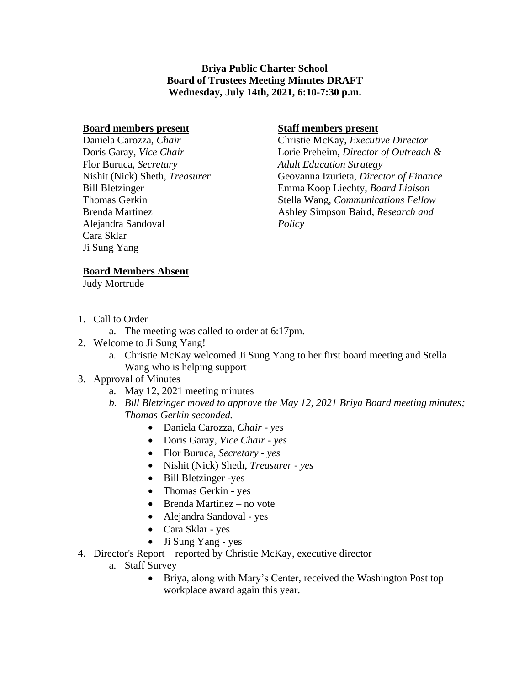**Briya Public Charter School Board of Trustees Meeting Minutes DRAFT Wednesday, July 14th, 2021, 6:10-7:30 p.m.**

#### **Board members present**

Daniela Carozza, *Chair* Doris Garay, *Vice Chair* Flor Buruca, *Secretary* Nishit (Nick) Sheth, *Treasurer* Bill Bletzinger Thomas Gerkin Brenda Martinez Alejandra Sandoval Cara Sklar Ji Sung Yang

### **Staff members present**

Christie McKay, *Executive Director* Lorie Preheim, *Director of Outreach & Adult Education Strategy*  Geovanna Izurieta, *Director of Finance* Emma Koop Liechty, *Board Liaison* Stella Wang, *Communications Fellow* Ashley Simpson Baird, *Research and Policy*

### **Board Members Absent**

Judy Mortrude

- 1. Call to Order
	- a. The meeting was called to order at 6:17pm.
- 2. Welcome to Ji Sung Yang!
	- a. Christie McKay welcomed Ji Sung Yang to her first board meeting and Stella Wang who is helping support

# 3. Approval of Minutes

- a. May 12, 2021 meeting minutes
- *b. Bill Bletzinger moved to approve the May 12, 2021 Briya Board meeting minutes; Thomas Gerkin seconded.*
	- Daniela Carozza, *Chair - yes*
	- Doris Garay, *Vice Chair - yes*
	- Flor Buruca, *Secretary - yes*
	- Nishit (Nick) Sheth, *Treasurer - yes*
	- Bill Bletzinger -yes
	- Thomas Gerkin yes
	- Brenda Martinez no vote
	- Alejandra Sandoval yes
	- Cara Sklar yes
	- Ji Sung Yang yes
- 4. Director's Report reported by Christie McKay, executive director
	- a. Staff Survey
		- Briya, along with Mary's Center, received the Washington Post top workplace award again this year.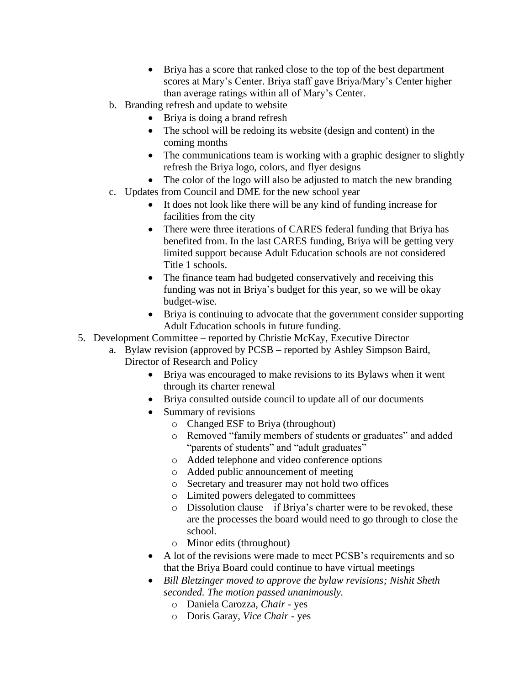- Briya has a score that ranked close to the top of the best department scores at Mary's Center. Briya staff gave Briya/Mary's Center higher than average ratings within all of Mary's Center.
- b. Branding refresh and update to website
	- Briya is doing a brand refresh
	- The school will be redoing its website (design and content) in the coming months
	- The communications team is working with a graphic designer to slightly refresh the Briya logo, colors, and flyer designs
	- The color of the logo will also be adjusted to match the new branding
- c. Updates from Council and DME for the new school year
	- It does not look like there will be any kind of funding increase for facilities from the city
	- There were three iterations of CARES federal funding that Briva has benefited from. In the last CARES funding, Briya will be getting very limited support because Adult Education schools are not considered Title 1 schools.
	- The finance team had budgeted conservatively and receiving this funding was not in Briya's budget for this year, so we will be okay budget-wise.
	- Briya is continuing to advocate that the government consider supporting Adult Education schools in future funding.
- 5. Development Committee reported by Christie McKay, Executive Director
	- a. Bylaw revision (approved by PCSB reported by Ashley Simpson Baird, Director of Research and Policy
		- Briya was encouraged to make revisions to its Bylaws when it went through its charter renewal
		- Briya consulted outside council to update all of our documents
		- Summary of revisions
			- o Changed ESF to Briya (throughout)
			- o Removed "family members of students or graduates" and added "parents of students" and "adult graduates"
			- o Added telephone and video conference options
			- o Added public announcement of meeting
			- o Secretary and treasurer may not hold two offices
			- o Limited powers delegated to committees
			- $\circ$  Dissolution clause if Briya's charter were to be revoked, these are the processes the board would need to go through to close the school.
			- o Minor edits (throughout)
		- A lot of the revisions were made to meet PCSB's requirements and so that the Briya Board could continue to have virtual meetings
		- *Bill Bletzinger moved to approve the bylaw revisions; Nishit Sheth seconded. The motion passed unanimously.*
			- o Daniela Carozza, *Chair*  yes
			- o Doris Garay, *Vice Chair*  yes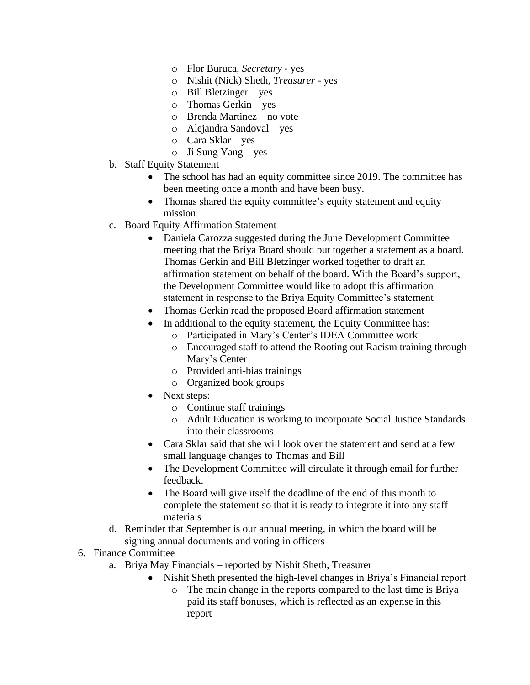- o Flor Buruca, *Secretary* yes
- o Nishit (Nick) Sheth, *Treasurer* yes
- o Bill Bletzinger yes
- o Thomas Gerkin yes
- o Brenda Martinez no vote
- o Alejandra Sandoval yes
- o Cara Sklar yes
- o Ji Sung Yang yes
- b. Staff Equity Statement
	- The school has had an equity committee since 2019. The committee has been meeting once a month and have been busy.
	- Thomas shared the equity committee's equity statement and equity mission.
- c. Board Equity Affirmation Statement
	- Daniela Carozza suggested during the June Development Committee meeting that the Briya Board should put together a statement as a board. Thomas Gerkin and Bill Bletzinger worked together to draft an affirmation statement on behalf of the board. With the Board's support, the Development Committee would like to adopt this affirmation statement in response to the Briya Equity Committee's statement
	- Thomas Gerkin read the proposed Board affirmation statement
	- In additional to the equity statement, the Equity Committee has:
		- o Participated in Mary's Center's IDEA Committee work
		- o Encouraged staff to attend the Rooting out Racism training through Mary's Center
		- o Provided anti-bias trainings
		- o Organized book groups
	- Next steps:
		- o Continue staff trainings
		- o Adult Education is working to incorporate Social Justice Standards into their classrooms
	- Cara Sklar said that she will look over the statement and send at a few small language changes to Thomas and Bill
	- The Development Committee will circulate it through email for further feedback.
	- The Board will give itself the deadline of the end of this month to complete the statement so that it is ready to integrate it into any staff materials
- d. Reminder that September is our annual meeting, in which the board will be signing annual documents and voting in officers
- 6. Finance Committee
	- a. Briya May Financials reported by Nishit Sheth, Treasurer
		- Nishit Sheth presented the high-level changes in Briya's Financial report
			- o The main change in the reports compared to the last time is Briya paid its staff bonuses, which is reflected as an expense in this report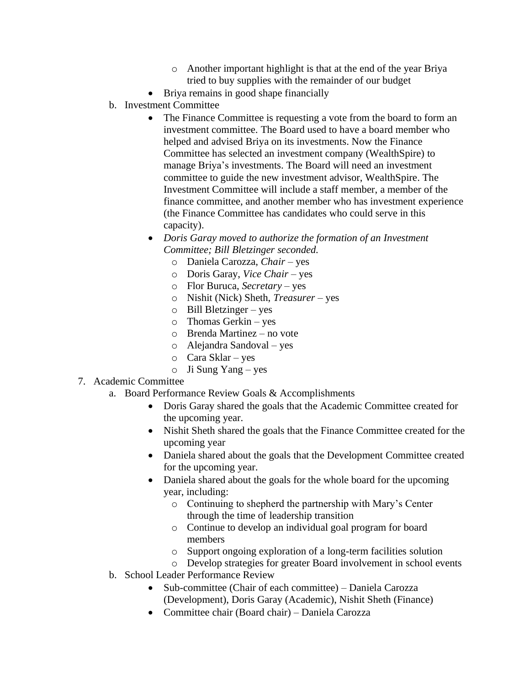- o Another important highlight is that at the end of the year Briya tried to buy supplies with the remainder of our budget
- Briya remains in good shape financially
- b. Investment Committee
	- The Finance Committee is requesting a vote from the board to form an investment committee. The Board used to have a board member who helped and advised Briya on its investments. Now the Finance Committee has selected an investment company (WealthSpire) to manage Briya's investments. The Board will need an investment committee to guide the new investment advisor, WealthSpire. The Investment Committee will include a staff member, a member of the finance committee, and another member who has investment experience (the Finance Committee has candidates who could serve in this capacity).
	- *Doris Garay moved to authorize the formation of an Investment Committee; Bill Bletzinger seconded.*
		- o Daniela Carozza, *Chair*  yes
		- o Doris Garay, *Vice Chair*  yes
		- o Flor Buruca, *Secretary* yes
		- o Nishit (Nick) Sheth, *Treasurer*  yes
		- o Bill Bletzinger yes
		- o Thomas Gerkin yes
		- o Brenda Martinez no vote
		- o Alejandra Sandoval yes
		- o Cara Sklar yes
		- o Ji Sung Yang yes

# 7. Academic Committee

- a. Board Performance Review Goals & Accomplishments
	- Doris Garay shared the goals that the Academic Committee created for the upcoming year.
	- Nishit Sheth shared the goals that the Finance Committee created for the upcoming year
	- Daniela shared about the goals that the Development Committee created for the upcoming year.
	- Daniela shared about the goals for the whole board for the upcoming year, including:
		- o Continuing to shepherd the partnership with Mary's Center through the time of leadership transition
		- o Continue to develop an individual goal program for board members
		- o Support ongoing exploration of a long-term facilities solution
		- o Develop strategies for greater Board involvement in school events
- b. School Leader Performance Review
	- Sub-committee (Chair of each committee) Daniela Carozza (Development), Doris Garay (Academic), Nishit Sheth (Finance)
	- Committee chair (Board chair) Daniela Carozza